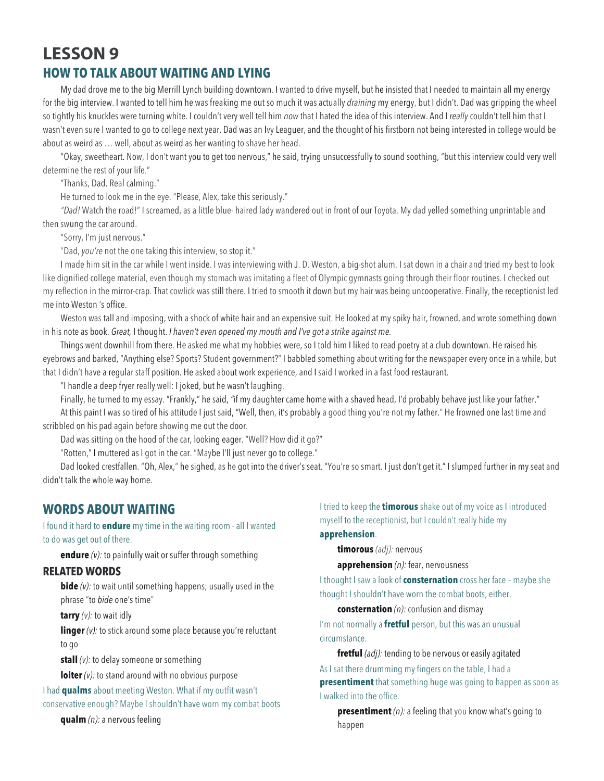# **LESSON 9 HOW TO TALK ABOUT WAITING AND LYING**

My dad drove me to the big Merrill Lynch building downtown. I wanted to drive myself, but he insisted that I needed to maintain all my energy for the big interview. I wanted to tell him he was freaking me out so much it was actually *draining* my energy, but I didn't. Dad was gripping the wheel so tightly his knuckles were turning white. I couldn't very well tell him *now* that I hated the idea of this interview. And I *really* couldn't tell him that I wasn't even sure I wanted to go to college next year. Dad was an Ivy Leaguer, and the thought of his firstborn not being interested in college would be about as weird as … well, about as weird as her wanting to shave her head.

"Okay, sweetheart. Now, I don't want you to get too nervous," he said, trying unsuccessfully to sound soothing, "but this interview could very well determine the rest of your life."

"Thanks, Dad. Real calming."

He turned to look me in the eye. "Please, Alex, take this seriously."

*"Dad!* Watch the road!" I screamed, as a little blue· haired lady wandered out in front of our Toyota. My dad yelled something unprintable and then swung the car around.

"Sorry, I'm just nervous."

"Dad, *you're* not the one taking this interview, so stop it."

I made him sit in the car while I went inside. I was interviewing with J. D. Weston, a big-shot alum. I sat down in a chair and tried my best to look like dignified college material, even though my stomach was imitating a fleet of Olympic gymnasts going through their floor routines. I checked out my reflection in the mirror-crap. That cowlick was still there. I tried to smooth it down but my hair was being uncooperative. Finally, the receptionist led me into Weston 's office.

Weston was tall and imposing, with a shock of white hair and an expensive suit. He looked at my spiky hair, frowned, and wrote something down in his note as book. *Great,* I thought. *I haven't even opened my mouth and I've got a strike against me.* 

Things went downhill from there. He asked me what my hobbies were, so I told him I liked to read poetry at a club downtown. He raised his eyebrows and barked, "Anything else? Sports? Student government?" I babbled something about writing for the newspaper every once in a while, but that I didn't have a regular staff position. He asked about work experience, and I said I worked in a fast food restaurant.

"I handle a deep fryer really well: I joked, but he wasn't laughing.

Finally, he turned to my essay. "Frankly," he said, *"*if my daughter came home with a shaved head, I'd probably behave just like your father."

At this paint I was so tired of his attitude I just said, "Well, then, it's probably a good thing you're not my father." He frowned one last time and scribbled on his pad again before showing me out the door.

Dad was sitting on the hood of the car, looking eager. "Well? How did it go?"

"Rotten," I muttered as I got in the car. "Maybe I'll just never go to college."

Dad looked crestfallen. "Oh, Alex," he sighed, as he got into the driver's seat. "You're so smart. I just don't get it." I slumped further in my seat and didn't talk the whole way home.

# **WORDS ABOUT WAITING**

I found it hard to **endure** my time in the waiting room - all I wanted to do was get out of there.

**endure** (v): to painfully wait or suffer through something

### **RELATED WORDS**

**bide** *(v):* to wait until something happens; usually used in the phrase "to *bide* one's time"

**tarry** *(v):* to wait idly

**linger** (v): to stick around some place because you're reluctant to go

**stall** *(v):* to delay someone or something

**loiter** (v): to stand around with no obvious purpose

I had **qualms** about meeting Weston. What if my outfit wasn't conservative enough? Maybe I shouldn't have worn my combat boots

**qualm** *(n):* a nervous feeling

I tried to keep the **timorous** shake out of my voice as I introduced myself to the receptionist, but I couldn't really hide my **apprehension**.

**timorous** *(adj):* nervous

**apprehension** *(n):* fear, nervousness

I thought I saw a look of **consternation** cross her face – maybe she thought I shouldn't have worn the combat boots, either.

**consternation** *(n):* confusion and dismay

I'm not normally a **fretful** person, but this was an unusual circumstance.

#### **fretful** *(adj):* tending to be nervous or easily agitated

As I sat there drumming my fingers on the table, I had a

**presentiment** that something huge was going to happen as soon as I walked into the office.

**presentiment** (n): a feeling that you know what's going to happen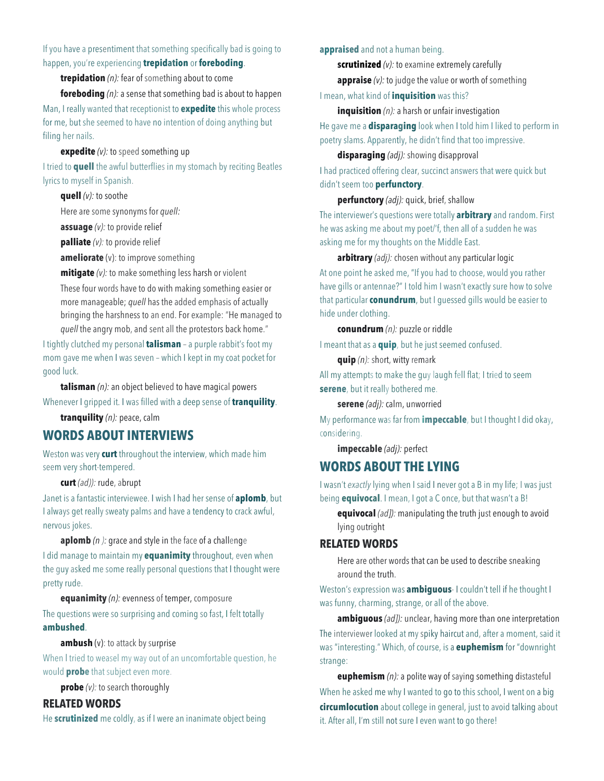If you have a presentiment that something specifically bad is going to happen, you're experiencing **trepidation** or **foreboding**.

**trepidation** *(n):* fear of something about to come

**foreboding** *(n):* a sense that something bad is about to happen Man, I really wanted that receptionist to **expedite** this whole process for me, but she seemed to have no intention of doing anything but filing her nails.

#### **expedite** *(v):* to speed something up

I tried to **quell** the awful butterflies in my stomach by reciting Beatles lyrics to myself in Spanish.

**quell** *(v):* to soothe

Here are some synonyms for *quell:*

**assuage** *(v):* to provide relief

**palliate** (v): to provide relief

**ameliorate** (v): to improve something

**mitigate** *(v):* to make something less harsh or violent These four words have to do with making something easier or more manageable; *quell* has the added emphasis of actually bringing the harshness to an end. For example: "He managed to *quell* the angry mob, and sent all the protestors back home."

I tightly clutched my personal **talisman** – a purple rabbit's foot my mom gave me when I was seven – which I kept in my coat pocket for good luck.

**talisman** *(n):* an object believed to have magical powers Whenever I gripped it. I was filled with a deep sense of **tranquility**.

**tranquility** *(n):* peace, calm

# **WORDS ABOUT INTERVIEWS**

Weston was very **curt** throughout the interview, which made him seem very short-tempered.

**curt** *(ad)):* rude, abrupt

Janet is a fantastic interviewee. I wish I had her sense of **aplomb**, but I always get really sweaty palms and have a tendency to crack awful, nervous jokes.

**aplomb** *(n ):* grace and style in the face of a challenge I did manage to maintain my **equanimity** throughout, even when the guy asked me some really personal questions that I thought were pretty rude.

**equanimity** *(n):* evenness of temper, composure The questions were so surprising and coming so fast, I felt totally **ambushed**.

**ambush** (v): to attack by surprise

When l tried to weasel my way out of an uncomfortable question, he would **probe** that subject even more.

**probe** *(v):* to search thoroughly

#### **RELATED WORDS**

He **scrutinized** me coldly, as if I were an inanimate object being

**appraised** and not a human being.

**scrutinized** *(v):* to examine extremely carefully

**appraise** *(v):* to judge the value or worth of something

I mean, what kind of **inquisition** was this?

**inquisition** (n): a harsh or unfair investigation He gave me a **disparaging** look when I told him I liked to perform in poetry slams. Apparently, he didn't find that too impressive.

### **disparaging** *(adj):* showing disapproval

I had practiced offering clear, succinct answers that were quick but didn't seem too **perfunctory**.

**perfunctory** *(adj):* quick, brief, shallow

The interviewer's questions were totally **arbitrary** and random. First he was asking me about my poet/'f, then all of a sudden he was asking me for my thoughts on the Middle East.

**arbitrary** *(adj):* chosen without any particular logic At one point he asked me, "If you had to choose, would you rather have gills or antennae?" I told him I wasn't exactly sure how to solve that particular **conundrum**, but I guessed gills would be easier to hide under clothing.

**conundrum** *(n):* puzzle or riddle

I meant that as a **quip**, but he just seemed confused.

**quip** *(n):* short, witty remark

All my attempts to make the guy laugh fell flat; I tried to seem **serene**, but it really bothered me.

**serene** *(adj):* calm, unworried

My performance was far from **impeccable**, but I thought I did okay, considering.

**impeccable** *(adj):* perfect

# **WORDS ABOUT THE LYING**

I wasn't *exactly* lying when I said I never got a B in my life; I was just being **equivocal**. I mean, I got a C once, but that wasn't a B!

**equivocal** *(ad]):* manipulating the truth just enough to avoid lying outright

## **RELATED WORDS**

Here are other words that can be used to describe sneaking around the truth.

Weston's expression was **ambiguous**- I couldn't tell if he thought I was funny, charming, strange, or all of the above.

**ambiguous** *(ad]):* unclear, having more than one interpretation The interviewer looked at my spiky haircut and, after a moment, said it was "interesting." Which, of course, is a **euphemism** for "downright strange:

**euphemism** *(n):* a polite way of saying something distasteful When he asked me why I wanted to go to this school, I went on a big **circumlocution** about college in general, just to avoid talking about it. After all, I'm still not sure I even want to go there!